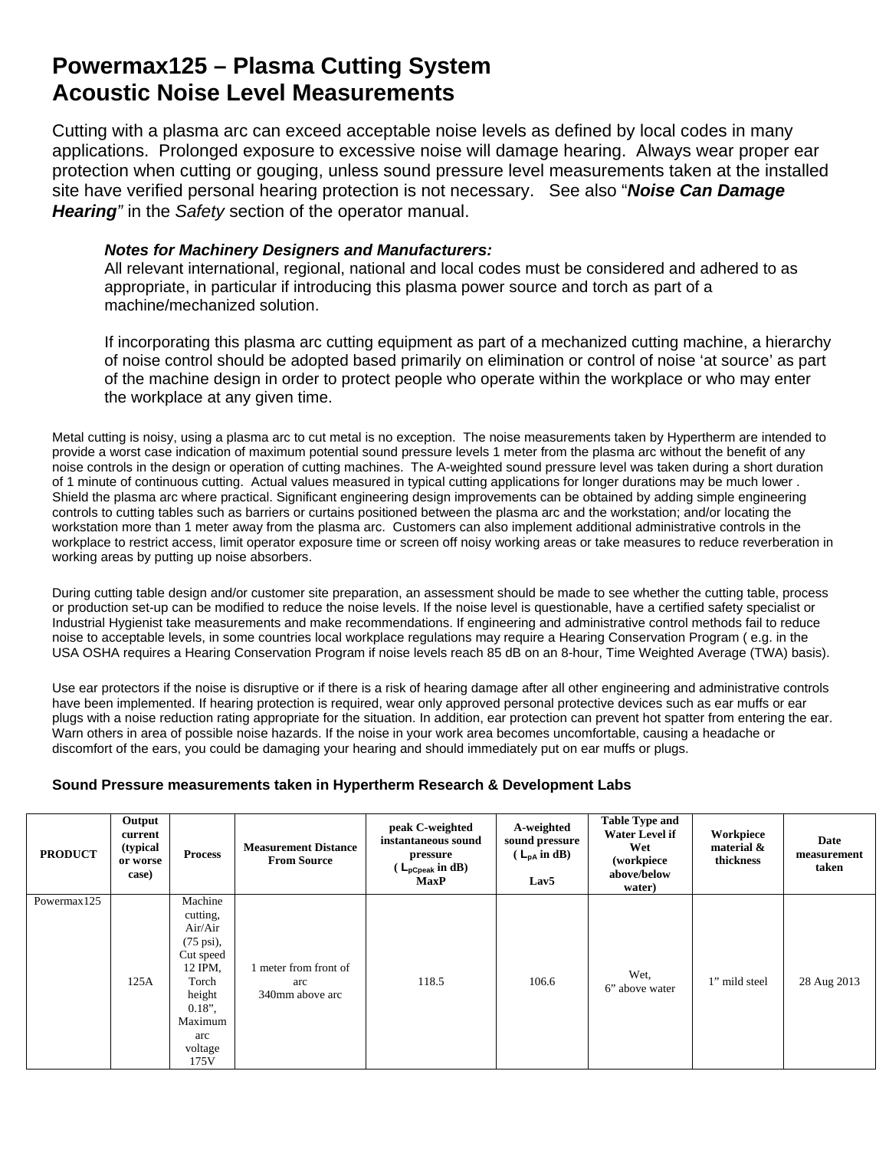## **Powermax125 – Plasma Cutting System Acoustic Noise Level Measurements**

Cutting with a plasma arc can exceed acceptable noise levels as defined by local codes in many applications. Prolonged exposure to excessive noise will damage hearing. Always wear proper ear protection when cutting or gouging, unless sound pressure level measurements taken at the installed site have verified personal hearing protection is not necessary. See also "*Noise Can Damage Hearing"* in the *Safety* section of the operator manual.

## *Notes for Machinery Designers and Manufacturers:*

All relevant international, regional, national and local codes must be considered and adhered to as appropriate, in particular if introducing this plasma power source and torch as part of a machine/mechanized solution.

If incorporating this plasma arc cutting equipment as part of a mechanized cutting machine, a hierarchy of noise control should be adopted based primarily on elimination or control of noise 'at source' as part of the machine design in order to protect people who operate within the workplace or who may enter the workplace at any given time.

Metal cutting is noisy, using a plasma arc to cut metal is no exception. The noise measurements taken by Hypertherm are intended to provide a worst case indication of maximum potential sound pressure levels 1 meter from the plasma arc without the benefit of any noise controls in the design or operation of cutting machines. The A-weighted sound pressure level was taken during a short duration of 1 minute of continuous cutting. Actual values measured in typical cutting applications for longer durations may be much lower . Shield the plasma arc where practical. Significant engineering design improvements can be obtained by adding simple engineering controls to cutting tables such as barriers or curtains positioned between the plasma arc and the workstation; and/or locating the workstation more than 1 meter away from the plasma arc. Customers can also implement additional administrative controls in the workplace to restrict access, limit operator exposure time or screen off noisy working areas or take measures to reduce reverberation in working areas by putting up noise absorbers.

During cutting table design and/or customer site preparation, an assessment should be made to see whether the cutting table, process or production set-up can be modified to reduce the noise levels. If the noise level is questionable, have a certified safety specialist or Industrial Hygienist take measurements and make recommendations. If engineering and administrative control methods fail to reduce noise to acceptable levels, in some countries local workplace regulations may require a Hearing Conservation Program ( e.g. in the USA OSHA requires a Hearing Conservation Program if noise levels reach 85 dB on an 8-hour, Time Weighted Average (TWA) basis).

Use ear protectors if the noise is disruptive or if there is a risk of hearing damage after all other engineering and administrative controls have been implemented. If hearing protection is required, wear only approved personal protective devices such as ear muffs or ear plugs with a noise reduction rating appropriate for the situation. In addition, ear protection can prevent hot spatter from entering the ear. Warn others in area of possible noise hazards. If the noise in your work area becomes uncomfortable, causing a headache or discomfort of the ears, you could be damaging your hearing and should immediately put on ear muffs or plugs.

## **Sound Pressure measurements taken in Hypertherm Research & Development Labs**

| <b>PRODUCT</b> | Output<br>current<br>(typical<br>or worse<br>case) | <b>Process</b>                                                                                                                                     | <b>Measurement Distance</b><br><b>From Source</b> | peak C-weighted<br>instantaneous sound<br>pressure<br>$\left($ L <sub>pCpeak</sub> in dB)<br><b>MaxP</b> | A-weighted<br>sound pressure<br>$(L_{DA} \text{ in } dB)$<br>Lav <sub>5</sub> | <b>Table Type and</b><br><b>Water Level if</b><br>Wet<br>(workpiece<br>above/below<br>water) | Workpiece<br>material $\&$<br>thickness | Date<br>measurement<br>taken |
|----------------|----------------------------------------------------|----------------------------------------------------------------------------------------------------------------------------------------------------|---------------------------------------------------|----------------------------------------------------------------------------------------------------------|-------------------------------------------------------------------------------|----------------------------------------------------------------------------------------------|-----------------------------------------|------------------------------|
| Powermax125    | 125A                                               | Machine<br>cutting,<br>Air/Air<br>$(75 \text{ psi})$ ,<br>Cut speed<br>12 IPM,<br>Torch<br>height<br>$0.18$ "<br>Maximum<br>arc<br>voltage<br>175V | 1 meter from front of<br>arc<br>340mm above arc   | 118.5                                                                                                    | 106.6                                                                         | Wet,<br>6" above water                                                                       | 1" mild steel                           | 28 Aug 2013                  |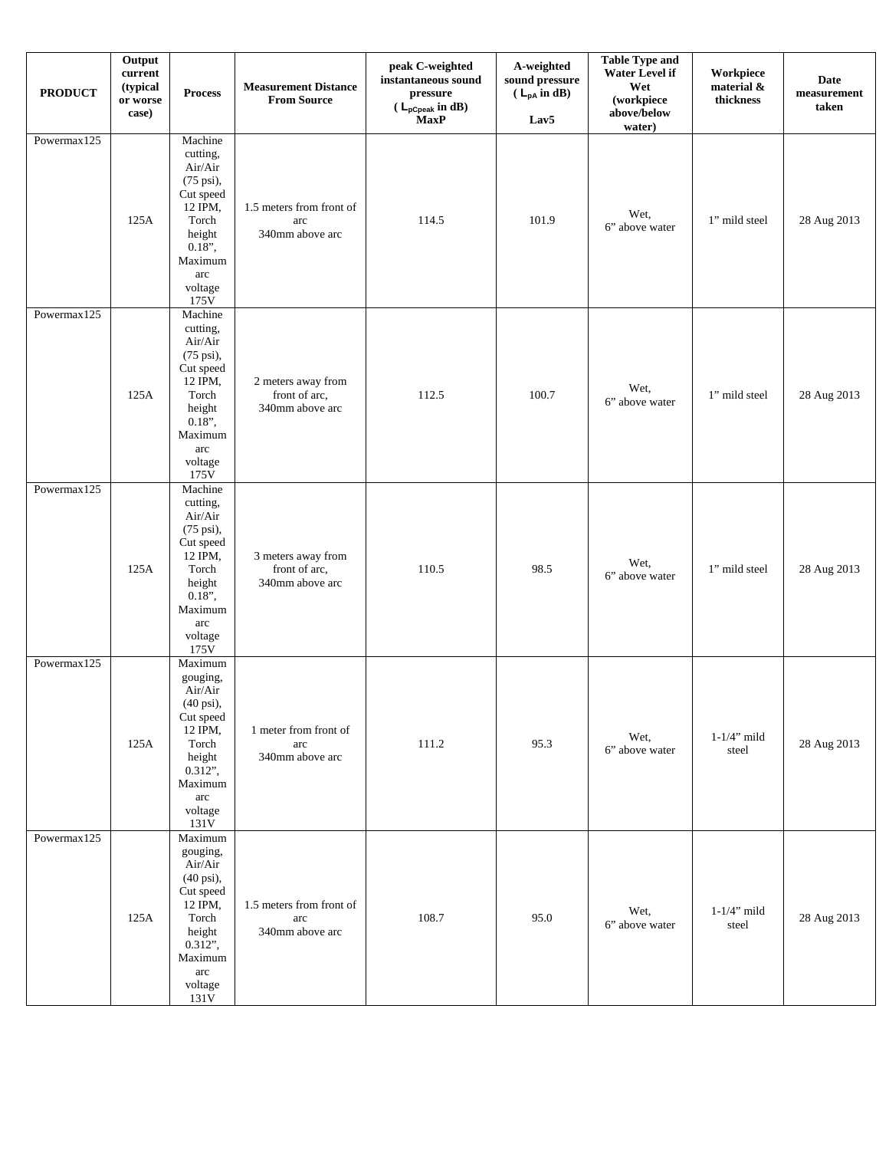| <b>PRODUCT</b> | Output<br>$\ensuremath{\mathbf{current}}$<br>(typical<br>or worse<br>case) | <b>Process</b>                                                                                                                                       | <b>Measurement Distance</b><br><b>From Source</b>      | peak C-weighted<br>instantaneous sound<br>pressure<br>$(L_{pCpeak} \text{ in dB})$<br><b>MaxP</b> | A-weighted<br>sound pressure<br>$(L_{pA} \text{ in } dB)$<br>Lav <sub>5</sub> | <b>Table Type and</b><br><b>Water Level if</b><br>Wet<br>(workpiece<br>above/below<br>water) | Workpiece<br>material &<br>thickness | Date<br>${\bf measurement}$<br>taken |
|----------------|----------------------------------------------------------------------------|------------------------------------------------------------------------------------------------------------------------------------------------------|--------------------------------------------------------|---------------------------------------------------------------------------------------------------|-------------------------------------------------------------------------------|----------------------------------------------------------------------------------------------|--------------------------------------|--------------------------------------|
| Powermax125    | 125A                                                                       | Machine<br>cutting,<br>Air/Air<br>(75 psi),<br>Cut speed<br>12 IPM,<br>Torch<br>height<br>$0.18$ ",<br>Maximum<br>arc<br>voltage<br>175V             | 1.5 meters from front of<br>arc<br>340mm above arc     | 114.5                                                                                             | 101.9                                                                         | Wet,<br>6" above water                                                                       | 1" mild steel                        | 28 Aug 2013                          |
| Powermax125    | 125A                                                                       | Machine<br>cutting,<br>Air/Air<br>(75 psi),<br>Cut speed<br>12 IPM,<br>Torch<br>height<br>$0.18$ ",<br>Maximum<br>arc<br>voltage<br>175V             | 2 meters away from<br>front of arc,<br>340mm above arc | 112.5                                                                                             | 100.7                                                                         | Wet,<br>6" above water                                                                       | 1" mild steel                        | 28 Aug 2013                          |
| Powermax125    | 125A                                                                       | Machine<br>cutting,<br>Air/Air<br>(75 psi),<br>Cut speed<br>12 IPM,<br>Torch<br>height<br>$0.18$ ",<br>Maximum<br>arc<br>voltage<br>175V             | 3 meters away from<br>front of arc,<br>340mm above arc | 110.5                                                                                             | 98.5                                                                          | Wet,<br>6" above water                                                                       | 1" mild steel                        | 28 Aug 2013                          |
| Powermax125    | 125A                                                                       | Maximum<br>gouging,<br>Air/Air<br>(40 psi),<br>Cut speed<br>12 IPM,<br>Torch<br>height<br>$0.312$ ",<br>Maximum<br>arc<br>voltage<br>131V            | 1 meter from front of<br>arc<br>340mm above arc        | 111.2                                                                                             | 95.3                                                                          | Wet,<br>6" above water                                                                       | $1-1/4$ " mild<br>steel              | 28 Aug 2013                          |
| Powermax125    | 125A                                                                       | Maximum<br>gouging,<br>Air/Air<br>$(40 \text{ psi})$ ,<br>Cut speed<br>12 IPM,<br>Torch<br>height<br>$0.312$ ",<br>Maximum<br>arc<br>voltage<br>131V | 1.5 meters from front of<br>arc<br>340mm above arc     | 108.7                                                                                             | 95.0                                                                          | Wet,<br>6" above water                                                                       | $1-1/4$ " mild<br>steel              | 28 Aug 2013                          |